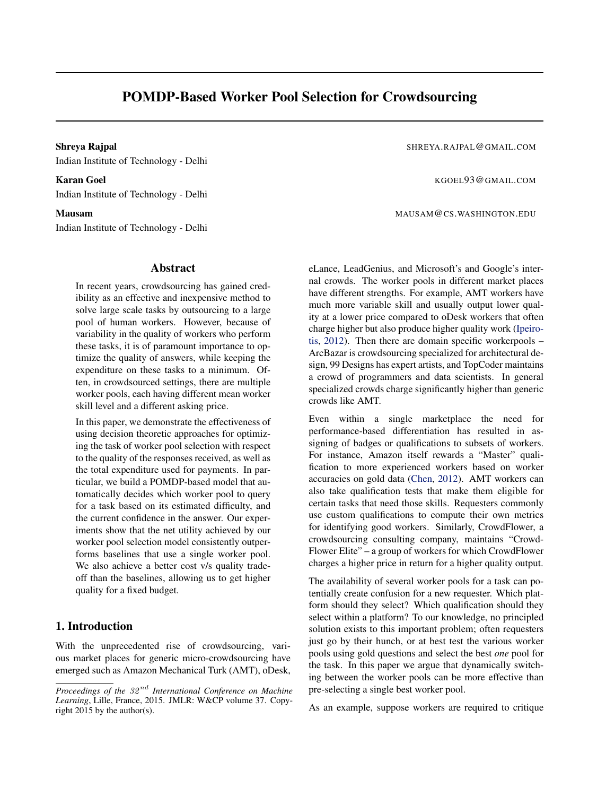# POMDP-Based Worker Pool Selection for Crowdsourcing

Shreya Rajpal Shreya Rajpal Shreya Rajpal Shreya Rajpal Shreya Rajpal Shreya Rajpal Shreya Rajpal Shreya Rajpal Shreya Rajpal Shreya Rajpal Shreya Rajpal Shreya Rajpal Shreya Rajpal Shreya Rajpal Shreya Rajpal Shreya Rajpa Indian Institute of Technology - Delhi

Karan Goel **Karan Goel Accounts and Accounts** Accounts Accounts Accounts Accounts Accounts Accounts Accounts Accounts A Indian Institute of Technology - Delhi

Indian Institute of Technology - Delhi

#### Abstract

In recent years, crowdsourcing has gained credibility as an effective and inexpensive method to solve large scale tasks by outsourcing to a large pool of human workers. However, because of variability in the quality of workers who perform these tasks, it is of paramount importance to optimize the quality of answers, while keeping the expenditure on these tasks to a minimum. Often, in crowdsourced settings, there are multiple worker pools, each having different mean worker skill level and a different asking price.

In this paper, we demonstrate the effectiveness of using decision theoretic approaches for optimizing the task of worker pool selection with respect to the quality of the responses received, as well as the total expenditure used for payments. In particular, we build a POMDP-based model that automatically decides which worker pool to query for a task based on its estimated difficulty, and the current confidence in the answer. Our experiments show that the net utility achieved by our worker pool selection model consistently outperforms baselines that use a single worker pool. We also achieve a better cost v/s quality tradeoff than the baselines, allowing us to get higher quality for a fixed budget.

## 1. Introduction

With the unprecedented rise of crowdsourcing, various market places for generic micro-crowdsourcing have emerged such as Amazon Mechanical Turk (AMT), oDesk,

Mausam MAUSAM CS. WASHINGTON.EDU

eLance, LeadGenius, and Microsoft's and Google's internal crowds. The worker pools in different market places have different strengths. For example, AMT workers have much more variable skill and usually output lower quality at a lower price compared to oDesk workers that often charge higher but also produce higher quality work [\(Ipeiro](#page-8-0)[tis,](#page-8-0) [2012\)](#page-8-0). Then there are domain specific workerpools – ArcBazar is crowdsourcing specialized for architectural design, 99 Designs has expert artists, and TopCoder maintains a crowd of programmers and data scientists. In general specialized crowds charge significantly higher than generic crowds like AMT.

Even within a single marketplace the need for performance-based differentiation has resulted in assigning of badges or qualifications to subsets of workers. For instance, Amazon itself rewards a "Master" qualification to more experienced workers based on worker accuracies on gold data [\(Chen,](#page-8-0) [2012\)](#page-8-0). AMT workers can also take qualification tests that make them eligible for certain tasks that need those skills. Requesters commonly use custom qualifications to compute their own metrics for identifying good workers. Similarly, CrowdFlower, a crowdsourcing consulting company, maintains "Crowd-Flower Elite" – a group of workers for which CrowdFlower charges a higher price in return for a higher quality output.

The availability of several worker pools for a task can potentially create confusion for a new requester. Which platform should they select? Which qualification should they select within a platform? To our knowledge, no principled solution exists to this important problem; often requesters just go by their hunch, or at best test the various worker pools using gold questions and select the best *one* pool for the task. In this paper we argue that dynamically switching between the worker pools can be more effective than pre-selecting a single best worker pool.

As an example, suppose workers are required to critique

*Proceedings of the* 32 nd *International Conference on Machine Learning*, Lille, France, 2015. JMLR: W&CP volume 37. Copyright 2015 by the author(s).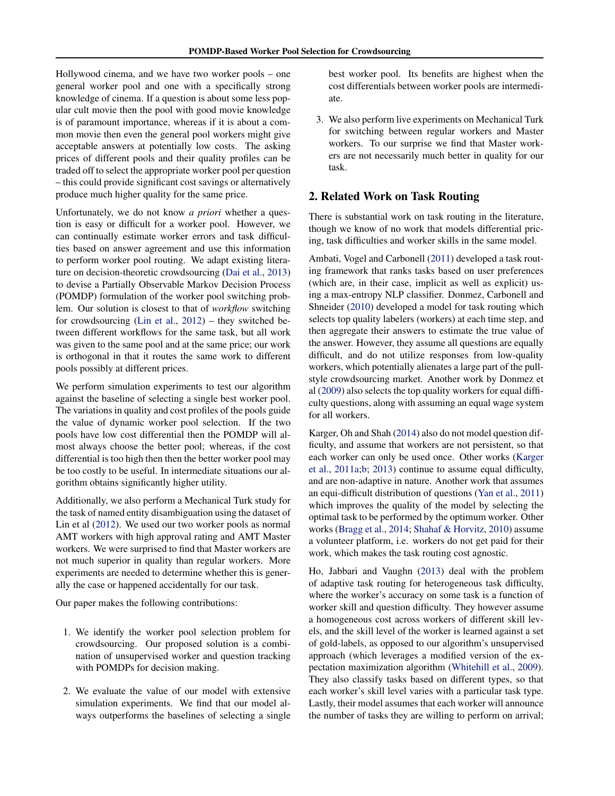Hollywood cinema, and we have two worker pools – one general worker pool and one with a specifically strong knowledge of cinema. If a question is about some less popular cult movie then the pool with good movie knowledge is of paramount importance, whereas if it is about a common movie then even the general pool workers might give acceptable answers at potentially low costs. The asking prices of different pools and their quality profiles can be traded off to select the appropriate worker pool per question – this could provide significant cost savings or alternatively produce much higher quality for the same price.

Unfortunately, we do not know *a priori* whether a question is easy or difficult for a worker pool. However, we can continually estimate worker errors and task difficulties based on answer agreement and use this information to perform worker pool routing. We adapt existing literature on decision-theoretic crowdsourcing [\(Dai et al.,](#page-8-0) [2013\)](#page-8-0) to devise a Partially Observable Markov Decision Process (POMDP) formulation of the worker pool switching problem. Our solution is closest to that of *workflow* switching for crowdsourcing [\(Lin et al.,](#page-8-0) [2012\)](#page-8-0) – they switched between different workflows for the same task, but all work was given to the same pool and at the same price; our work is orthogonal in that it routes the same work to different pools possibly at different prices.

We perform simulation experiments to test our algorithm against the baseline of selecting a single best worker pool. The variations in quality and cost profiles of the pools guide the value of dynamic worker pool selection. If the two pools have low cost differential then the POMDP will almost always choose the better pool; whereas, if the cost differential is too high then then the better worker pool may be too costly to be useful. In intermediate situations our algorithm obtains significantly higher utility.

Additionally, we also perform a Mechanical Turk study for the task of named entity disambiguation using the dataset of Lin et al [\(2012\)](#page-8-0). We used our two worker pools as normal AMT workers with high approval rating and AMT Master workers. We were surprised to find that Master workers are not much superior in quality than regular workers. More experiments are needed to determine whether this is generally the case or happened accidentally for our task.

Our paper makes the following contributions:

- 1. We identify the worker pool selection problem for crowdsourcing. Our proposed solution is a combination of unsupervised worker and question tracking with POMDPs for decision making.
- 2. We evaluate the value of our model with extensive simulation experiments. We find that our model always outperforms the baselines of selecting a single

best worker pool. Its benefits are highest when the cost differentials between worker pools are intermediate.

3. We also perform live experiments on Mechanical Turk for switching between regular workers and Master workers. To our surprise we find that Master workers are not necessarily much better in quality for our task.

## 2. Related Work on Task Routing

There is substantial work on task routing in the literature, though we know of no work that models differential pricing, task difficulties and worker skills in the same model.

Ambati, Vogel and Carbonell [\(2011\)](#page-8-0) developed a task routing framework that ranks tasks based on user preferences (which are, in their case, implicit as well as explicit) using a max-entropy NLP classifier. Donmez, Carbonell and Shneider [\(2010\)](#page-8-0) developed a model for task routing which selects top quality labelers (workers) at each time step, and then aggregate their answers to estimate the true value of the answer. However, they assume all questions are equally difficult, and do not utilize responses from low-quality workers, which potentially alienates a large part of the pullstyle crowdsourcing market. Another work by Donmez et al [\(2009\)](#page-8-0) also selects the top quality workers for equal difficulty questions, along with assuming an equal wage system for all workers.

Karger, Oh and Shah [\(2014\)](#page-8-0) also do not model question difficulty, and assume that workers are not persistent, so that each worker can only be used once. Other works [\(Karger](#page-8-0) [et al.,](#page-8-0) [2011a;b;](#page-8-0) [2013\)](#page-8-0) continue to assume equal difficulty, and are non-adaptive in nature. Another work that assumes an equi-difficult distribution of questions [\(Yan et al.,](#page-8-0) [2011\)](#page-8-0) which improves the quality of the model by selecting the optimal task to be performed by the optimum worker. Other works [\(Bragg et al.,](#page-8-0) [2014;](#page-8-0) [Shahaf & Horvitz,](#page-8-0) [2010\)](#page-8-0) assume a volunteer platform, i.e. workers do not get paid for their work, which makes the task routing cost agnostic.

Ho, Jabbari and Vaughn [\(2013\)](#page-8-0) deal with the problem of adaptive task routing for heterogeneous task difficulty, where the worker's accuracy on some task is a function of worker skill and question difficulty. They however assume a homogeneous cost across workers of different skill levels, and the skill level of the worker is learned against a set of gold-labels, as opposed to our algorithm's unsupervised approach (which leverages a modified version of the expectation maximization algorithm [\(Whitehill et al.,](#page-8-0) [2009\)](#page-8-0). They also classify tasks based on different types, so that each worker's skill level varies with a particular task type. Lastly, their model assumes that each worker will announce the number of tasks they are willing to perform on arrival;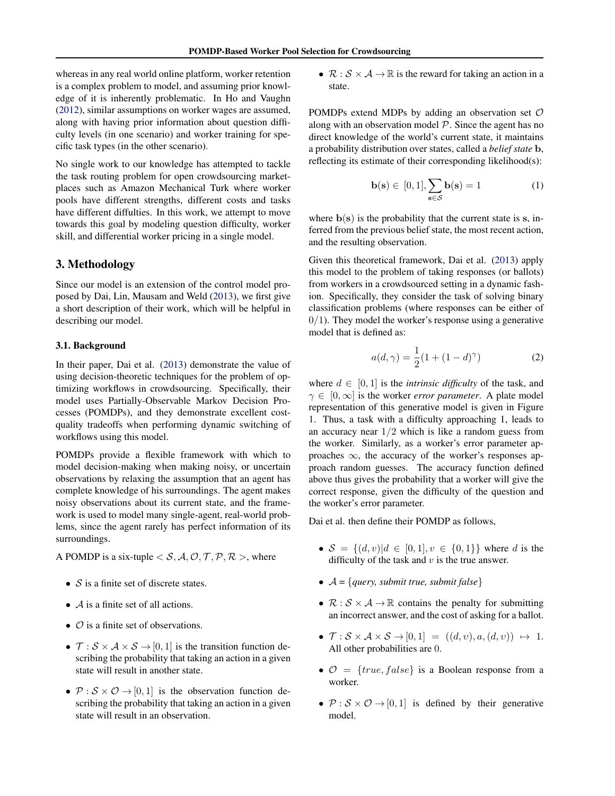whereas in any real world online platform, worker retention is a complex problem to model, and assuming prior knowledge of it is inherently problematic. In Ho and Vaughn [\(2012\)](#page-8-0), similar assumptions on worker wages are assumed, along with having prior information about question difficulty levels (in one scenario) and worker training for specific task types (in the other scenario).

No single work to our knowledge has attempted to tackle the task routing problem for open crowdsourcing marketplaces such as Amazon Mechanical Turk where worker pools have different strengths, different costs and tasks have different diffulties. In this work, we attempt to move towards this goal by modeling question difficulty, worker skill, and differential worker pricing in a single model.

## 3. Methodology

Since our model is an extension of the control model proposed by Dai, Lin, Mausam and Weld [\(2013\)](#page-8-0), we first give a short description of their work, which will be helpful in describing our model.

#### 3.1. Background

In their paper, Dai et al. [\(2013\)](#page-8-0) demonstrate the value of using decision-theoretic techniques for the problem of optimizing workflows in crowdsourcing. Specifically, their model uses Partially-Observable Markov Decision Processes (POMDPs), and they demonstrate excellent costquality tradeoffs when performing dynamic switching of workflows using this model.

POMDPs provide a flexible framework with which to model decision-making when making noisy, or uncertain observations by relaxing the assumption that an agent has complete knowledge of his surroundings. The agent makes noisy observations about its current state, and the framework is used to model many single-agent, real-world problems, since the agent rarely has perfect information of its surroundings.

A POMDP is a six-tuple  $\langle S, A, \mathcal{O}, \mathcal{T}, \mathcal{P}, \mathcal{R} \rangle$ , where

- $S$  is a finite set of discrete states.
- $\overline{A}$  is a finite set of all actions.
- $\circ$  is a finite set of observations.
- $\mathcal{T}: \mathcal{S} \times \mathcal{A} \times \mathcal{S} \rightarrow [0, 1]$  is the transition function describing the probability that taking an action in a given state will result in another state.
- $\mathcal{P}: \mathcal{S} \times \mathcal{O} \rightarrow [0, 1]$  is the observation function describing the probability that taking an action in a given state will result in an observation.

•  $\mathcal{R}: \mathcal{S} \times \mathcal{A} \rightarrow \mathbb{R}$  is the reward for taking an action in a state.

POMDPs extend MDPs by adding an observation set  $\mathcal O$ along with an observation model  $P$ . Since the agent has no direct knowledge of the world's current state, it maintains a probability distribution over states, called a *belief state* b, reflecting its estimate of their corresponding likelihood(s):

$$
\mathbf{b}(\mathbf{s}) \in [0, 1], \sum_{\mathbf{s} \in \mathcal{S}} \mathbf{b}(\mathbf{s}) = 1 \tag{1}
$$

where  $b(s)$  is the probability that the current state is s, inferred from the previous belief state, the most recent action, and the resulting observation.

Given this theoretical framework, Dai et al. [\(2013\)](#page-8-0) apply this model to the problem of taking responses (or ballots) from workers in a crowdsourced setting in a dynamic fashion. Specifically, they consider the task of solving binary classification problems (where responses can be either of  $0/1$ ). They model the worker's response using a generative model that is defined as:

$$
a(d, \gamma) = \frac{1}{2}(1 + (1 - d)^{\gamma})
$$
 (2)

where  $d \in [0, 1]$  is the *intrinsic difficulty* of the task, and  $\gamma \in [0,\infty]$  is the worker *error parameter*. A plate model representation of this generative model is given in Figure [1.](#page-3-0) Thus, a task with a difficulty approaching 1, leads to an accuracy near  $1/2$  which is like a random guess from the worker. Similarly, as a worker's error parameter approaches  $\infty$ , the accuracy of the worker's responses approach random guesses. The accuracy function defined above thus gives the probability that a worker will give the correct response, given the difficulty of the question and the worker's error parameter.

Dai et al. then define their POMDP as follows,

- $S = \{(d, v) | d \in [0, 1], v \in \{0, 1\}\}\$  where d is the difficulty of the task and  $v$  is the true answer.
- $A = \{query, submit true, submit false\}$
- $\mathcal{R}: \mathcal{S} \times \mathcal{A} \rightarrow \mathbb{R}$  contains the penalty for submitting an incorrect answer, and the cost of asking for a ballot.
- $\mathcal{T}: \mathcal{S} \times \mathcal{A} \times \mathcal{S} \rightarrow [0, 1] = ((d, v), a, (d, v)) \mapsto 1.$ All other probabilities are 0.
- $\mathcal{O} = \{true, false\}$  is a Boolean response from a worker.
- $\mathcal{P}: \mathcal{S} \times \mathcal{O} \rightarrow [0, 1]$  is defined by their generative model.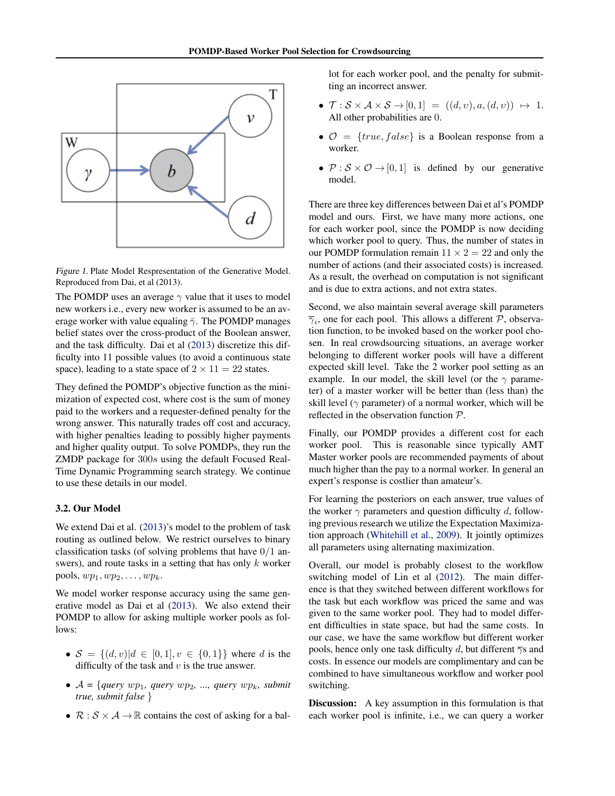<span id="page-3-0"></span>

Figure 1. Plate Model Respresentation of the Generative Model. Reproduced from Dai, et al (2013).

The POMDP uses an average  $\gamma$  value that it uses to model new workers i.e., every new worker is assumed to be an average worker with value equaling  $\bar{\gamma}$ . The POMDP manages belief states over the cross-product of the Boolean answer, and the task difficulty. Dai et al [\(2013\)](#page-8-0) discretize this difficulty into 11 possible values (to avoid a continuous state space), leading to a state space of  $2 \times 11 = 22$  states.

They defined the POMDP's objective function as the minimization of expected cost, where cost is the sum of money paid to the workers and a requester-defined penalty for the wrong answer. This naturally trades off cost and accuracy, with higher penalties leading to possibly higher payments and higher quality output. To solve POMDPs, they run the ZMDP package for 300s using the default Focused Real-Time Dynamic Programming search strategy. We continue to use these details in our model.

## 3.2. Our Model

We extend Dai et al. [\(2013\)](#page-8-0)'s model to the problem of task routing as outlined below. We restrict ourselves to binary classification tasks (of solving problems that have  $0/1$  answers), and route tasks in a setting that has only  $k$  worker pools,  $wp_1, wp_2, \ldots, wp_k$ .

We model worker response accuracy using the same generative model as Dai et al [\(2013\)](#page-8-0). We also extend their POMDP to allow for asking multiple worker pools as follows:

- $S = \{(d, v) | d \in [0, 1], v \in \{0, 1\}\}\$  where d is the difficulty of the task and  $v$  is the true answer.
- $A = \{query \ wp_1, \ query \ wp_2, \ ...,\ query \ wp_k, \ submit$ *true, submit false* }
- $\mathcal{R}: \mathcal{S} \times \mathcal{A} \rightarrow \mathbb{R}$  contains the cost of asking for a bal-

lot for each worker pool, and the penalty for submitting an incorrect answer.

- $\mathcal{T}: \mathcal{S} \times \mathcal{A} \times \mathcal{S} \rightarrow [0,1] = ((d,v), a, (d,v)) \mapsto 1.$ All other probabilities are 0.
- $\mathcal{O} = \{true, false\}$  is a Boolean response from a worker.
- $P : S \times O \rightarrow [0, 1]$  is defined by our generative model.

There are three key differences between Dai et al's POMDP model and ours. First, we have many more actions, one for each worker pool, since the POMDP is now deciding which worker pool to query. Thus, the number of states in our POMDP formulation remain  $11 \times 2 = 22$  and only the number of actions (and their associated costs) is increased. As a result, the overhead on computation is not significant and is due to extra actions, and not extra states.

Second, we also maintain several average skill parameters  $\overline{\gamma}_i$ , one for each pool. This allows a different  $P$ , observation function, to be invoked based on the worker pool chosen. In real crowdsourcing situations, an average worker belonging to different worker pools will have a different expected skill level. Take the 2 worker pool setting as an example. In our model, the skill level (or the  $\gamma$  parameter) of a master worker will be better than (less than) the skill level ( $\gamma$  parameter) of a normal worker, which will be reflected in the observation function P.

Finally, our POMDP provides a different cost for each worker pool. This is reasonable since typically AMT Master worker pools are recommended payments of about much higher than the pay to a normal worker. In general an expert's response is costlier than amateur's.

For learning the posteriors on each answer, true values of the worker  $\gamma$  parameters and question difficulty d, following previous research we utilize the Expectation Maximization approach [\(Whitehill et al.,](#page-8-0) [2009\)](#page-8-0). It jointly optimizes all parameters using alternating maximization.

Overall, our model is probably closest to the workflow switching model of Lin et al [\(2012\)](#page-8-0). The main difference is that they switched between different workflows for the task but each workflow was priced the same and was given to the same worker pool. They had to model different difficulties in state space, but had the same costs. In our case, we have the same workflow but different worker pools, hence only one task difficulty d, but different  $\overline{\gamma}$ s and costs. In essence our models are complimentary and can be combined to have simultaneous workflow and worker pool switching.

**Discussion:** A key assumption in this formulation is that each worker pool is infinite, i.e., we can query a worker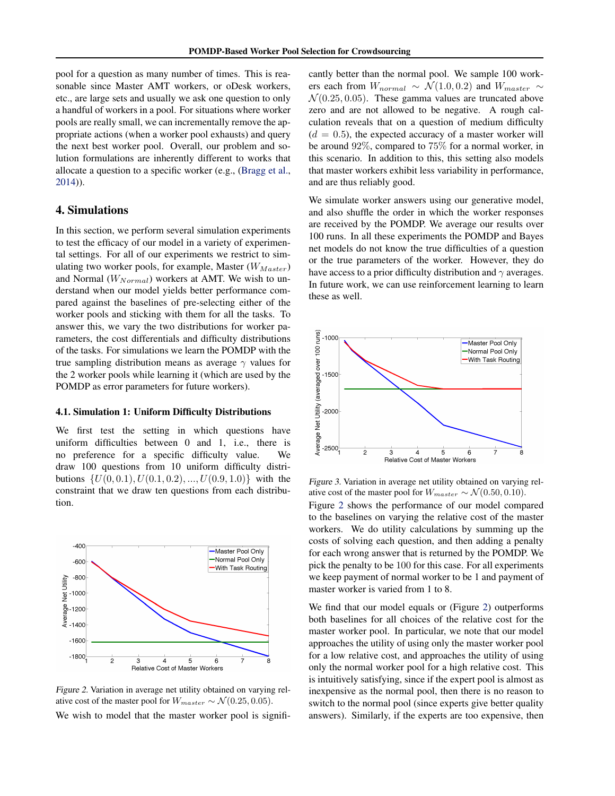<span id="page-4-0"></span>pool for a question as many number of times. This is reasonable since Master AMT workers, or oDesk workers, etc., are large sets and usually we ask one question to only a handful of workers in a pool. For situations where worker pools are really small, we can incrementally remove the appropriate actions (when a worker pool exhausts) and query the next best worker pool. Overall, our problem and solution formulations are inherently different to works that allocate a question to a specific worker (e.g., [\(Bragg et al.,](#page-8-0) [2014\)](#page-8-0)).

## 4. Simulations

In this section, we perform several simulation experiments to test the efficacy of our model in a variety of experimental settings. For all of our experiments we restrict to simulating two worker pools, for example, Master  $(W_{Master})$ and Normal  $(W_{Normal})$  workers at AMT. We wish to understand when our model yields better performance compared against the baselines of pre-selecting either of the worker pools and sticking with them for all the tasks. To answer this, we vary the two distributions for worker parameters, the cost differentials and difficulty distributions of the tasks. For simulations we learn the POMDP with the true sampling distribution means as average  $\gamma$  values for the 2 worker pools while learning it (which are used by the POMDP as error parameters for future workers).

#### 4.1. Simulation 1: Uniform Difficulty Distributions

We first test the setting in which questions have uniform difficulties between 0 and 1, i.e., there is no preference for a specific difficulty value. We draw 100 questions from 10 uniform difficulty distributions  $\{U(0, 0.1), U(0.1, 0.2), ..., U(0.9, 1.0)\}\$  with the constraint that we draw ten questions from each distribution.



Figure 2. Variation in average net utility obtained on varying relative cost of the master pool for  $W_{master} \sim \mathcal{N}(0.25, 0.05)$ . We wish to model that the master worker pool is signifi-

cantly better than the normal pool. We sample 100 workers each from  $W_{normal} \sim \mathcal{N}(1.0, 0.2)$  and  $W_{master} \sim$  $\mathcal{N}(0.25, 0.05)$ . These gamma values are truncated above zero and are not allowed to be negative. A rough calculation reveals that on a question of medium difficulty  $(d = 0.5)$ , the expected accuracy of a master worker will be around 92%, compared to 75% for a normal worker, in this scenario. In addition to this, this setting also models that master workers exhibit less variability in performance, and are thus reliably good.

We simulate worker answers using our generative model, and also shuffle the order in which the worker responses are received by the POMDP. We average our results over 100 runs. In all these experiments the POMDP and Bayes net models do not know the true difficulties of a question or the true parameters of the worker. However, they do have access to a prior difficulty distribution and  $\gamma$  averages. In future work, we can use reinforcement learning to learn these as well.



Figure 3. Variation in average net utility obtained on varying relative cost of the master pool for  $W_{master} \sim \mathcal{N}(0.50, 0.10)$ .

Figure 2 shows the performance of our model compared to the baselines on varying the relative cost of the master workers. We do utility calculations by summing up the costs of solving each question, and then adding a penalty for each wrong answer that is returned by the POMDP. We pick the penalty to be 100 for this case. For all experiments we keep payment of normal worker to be 1 and payment of master worker is varied from 1 to 8.

We find that our model equals or (Figure 2) outperforms both baselines for all choices of the relative cost for the master worker pool. In particular, we note that our model approaches the utility of using only the master worker pool for a low relative cost, and approaches the utility of using only the normal worker pool for a high relative cost. This is intuitively satisfying, since if the expert pool is almost as inexpensive as the normal pool, then there is no reason to switch to the normal pool (since experts give better quality answers). Similarly, if the experts are too expensive, then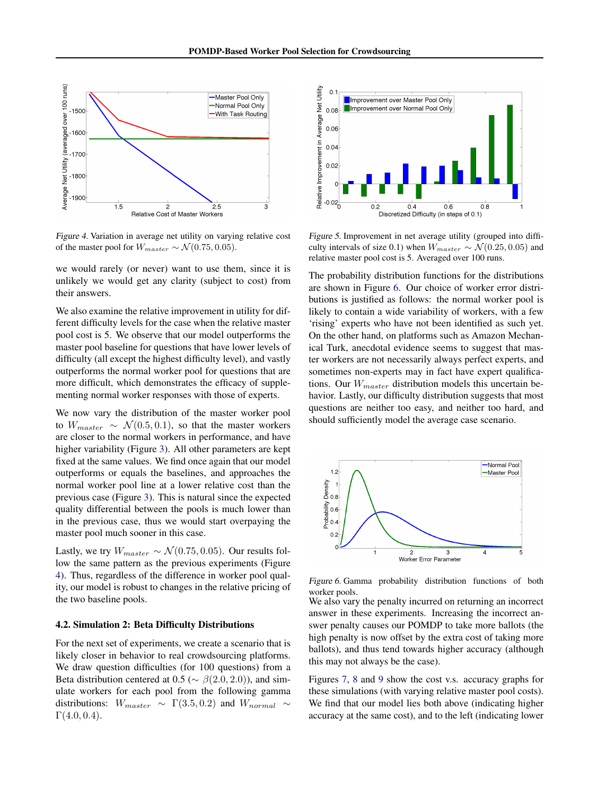

Figure 4. Variation in average net utility on varying relative cost of the master pool for  $W_{master} \sim \mathcal{N}(0.75, 0.05)$ .

we would rarely (or never) want to use them, since it is unlikely we would get any clarity (subject to cost) from their answers.

We also examine the relative improvement in utility for different difficulty levels for the case when the relative master pool cost is 5. We observe that our model outperforms the master pool baseline for questions that have lower levels of difficulty (all except the highest difficulty level), and vastly outperforms the normal worker pool for questions that are more difficult, which demonstrates the efficacy of supplementing normal worker responses with those of experts.

We now vary the distribution of the master worker pool to  $W_{master} \sim \mathcal{N}(0.5, 0.1)$ , so that the master workers are closer to the normal workers in performance, and have higher variability (Figure [3\)](#page-4-0). All other parameters are kept fixed at the same values. We find once again that our model outperforms or equals the baselines, and approaches the normal worker pool line at a lower relative cost than the previous case (Figure [3\)](#page-4-0). This is natural since the expected quality differential between the pools is much lower than in the previous case, thus we would start overpaying the master pool much sooner in this case.

Lastly, we try  $W_{master} \sim \mathcal{N}(0.75, 0.05)$ . Our results follow the same pattern as the previous experiments (Figure 4). Thus, regardless of the difference in worker pool quality, our model is robust to changes in the relative pricing of the two baseline pools.

#### 4.2. Simulation 2: Beta Difficulty Distributions

For the next set of experiments, we create a scenario that is likely closer in behavior to real crowdsourcing platforms. We draw question difficulties (for 100 questions) from a Beta distribution centered at 0.5 ( $\sim \beta(2.0, 2.0)$ ), and simulate workers for each pool from the following gamma distributions:  $W_{master} \sim \Gamma(3.5, 0.2)$  and  $W_{normal} \sim$  $\Gamma(4.0, 0.4)$ .



Figure 5. Improvement in net average utility (grouped into difficulty intervals of size 0.1) when  $W_{master} \sim \mathcal{N}(0.25, 0.05)$  and relative master pool cost is 5. Averaged over 100 runs.

The probability distribution functions for the distributions are shown in Figure 6. Our choice of worker error distributions is justified as follows: the normal worker pool is likely to contain a wide variability of workers, with a few 'rising' experts who have not been identified as such yet. On the other hand, on platforms such as Amazon Mechanical Turk, anecdotal evidence seems to suggest that master workers are not necessarily always perfect experts, and sometimes non-experts may in fact have expert qualifications. Our  $W_{master}$  distribution models this uncertain behavior. Lastly, our difficulty distribution suggests that most questions are neither too easy, and neither too hard, and should sufficiently model the average case scenario.



Figure 6. Gamma probability distribution functions of both worker pools.

We also vary the penalty incurred on returning an incorrect answer in these experiments. Increasing the incorrect answer penalty causes our POMDP to take more ballots (the high penalty is now offset by the extra cost of taking more ballots), and thus tend towards higher accuracy (although this may not always be the case).

Figures [7,](#page-6-0) [8](#page-6-0) and [9](#page-6-0) show the cost v.s. accuracy graphs for these simulations (with varying relative master pool costs). We find that our model lies both above (indicating higher accuracy at the same cost), and to the left (indicating lower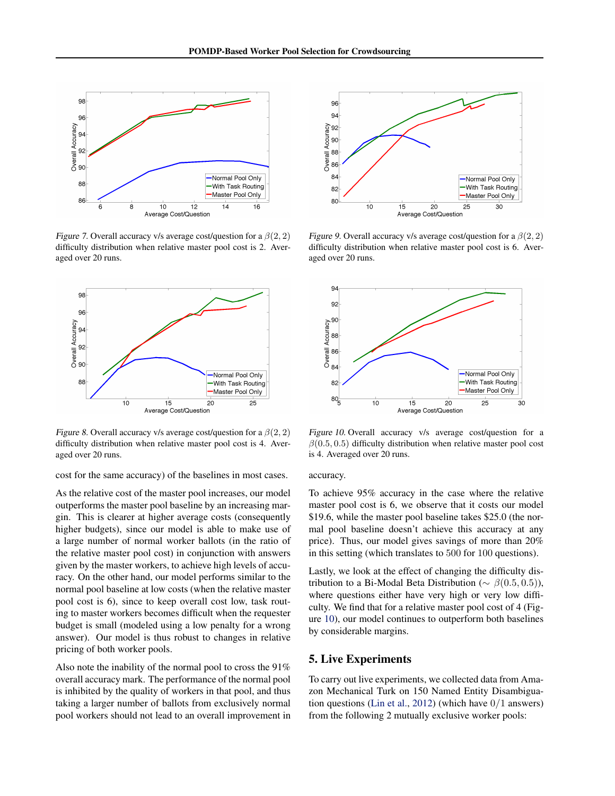<span id="page-6-0"></span>

Figure 7. Overall accuracy v/s average cost/question for a  $\beta(2, 2)$ difficulty distribution when relative master pool cost is 2. Averaged over 20 runs.



Figure 8. Overall accuracy v/s average cost/question for a  $\beta(2, 2)$ difficulty distribution when relative master pool cost is 4. Averaged over 20 runs.

cost for the same accuracy) of the baselines in most cases.

As the relative cost of the master pool increases, our model outperforms the master pool baseline by an increasing margin. This is clearer at higher average costs (consequently higher budgets), since our model is able to make use of a large number of normal worker ballots (in the ratio of the relative master pool cost) in conjunction with answers given by the master workers, to achieve high levels of accuracy. On the other hand, our model performs similar to the normal pool baseline at low costs (when the relative master pool cost is 6), since to keep overall cost low, task routing to master workers becomes difficult when the requester budget is small (modeled using a low penalty for a wrong answer). Our model is thus robust to changes in relative pricing of both worker pools.

Also note the inability of the normal pool to cross the 91% overall accuracy mark. The performance of the normal pool is inhibited by the quality of workers in that pool, and thus taking a larger number of ballots from exclusively normal pool workers should not lead to an overall improvement in



Figure 9. Overall accuracy v/s average cost/question for a  $\beta(2, 2)$ difficulty distribution when relative master pool cost is 6. Averaged over 20 runs.



Figure 10. Overall accuracy v/s average cost/question for a  $\beta(0.5, 0.5)$  difficulty distribution when relative master pool cost is 4. Averaged over 20 runs.

## accuracy.

To achieve 95% accuracy in the case where the relative master pool cost is 6, we observe that it costs our model \$19.6, while the master pool baseline takes \$25.0 (the normal pool baseline doesn't achieve this accuracy at any price). Thus, our model gives savings of more than 20% in this setting (which translates to 500 for 100 questions).

Lastly, we look at the effect of changing the difficulty distribution to a Bi-Modal Beta Distribution ( $\sim \beta(0.5, 0.5)$ ), where questions either have very high or very low difficulty. We find that for a relative master pool cost of 4 (Figure 10), our model continues to outperform both baselines by considerable margins.

## 5. Live Experiments

To carry out live experiments, we collected data from Amazon Mechanical Turk on 150 Named Entity Disambiguation questions [\(Lin et al.,](#page-8-0) [2012\)](#page-8-0) (which have 0/1 answers) from the following 2 mutually exclusive worker pools: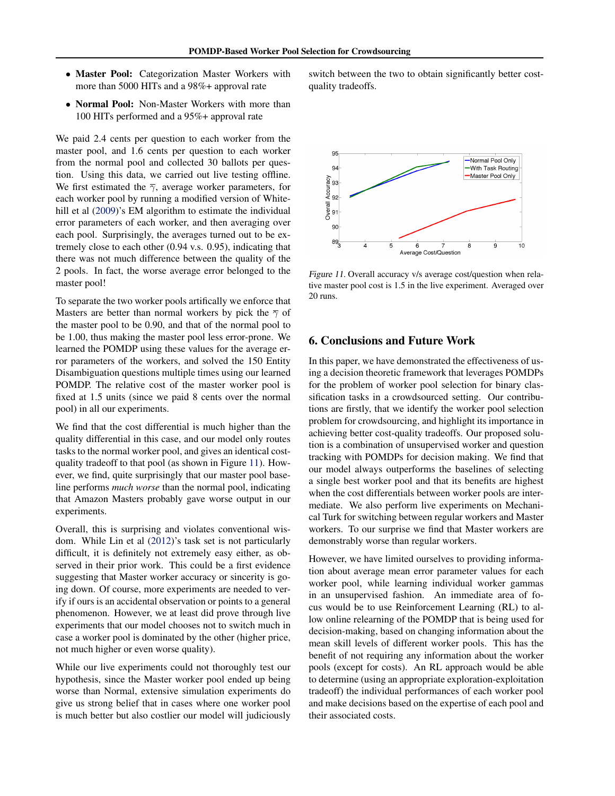- Master Pool: Categorization Master Workers with more than 5000 HITs and a 98%+ approval rate
- Normal Pool: Non-Master Workers with more than 100 HITs performed and a 95%+ approval rate

We paid 2.4 cents per question to each worker from the master pool, and 1.6 cents per question to each worker from the normal pool and collected 30 ballots per question. Using this data, we carried out live testing offline. We first estimated the  $\overline{\gamma}$ , average worker parameters, for each worker pool by running a modified version of White-hill et al [\(2009\)](#page-8-0)'s EM algorithm to estimate the individual error parameters of each worker, and then averaging over each pool. Surprisingly, the averages turned out to be extremely close to each other (0.94 v.s. 0.95), indicating that there was not much difference between the quality of the 2 pools. In fact, the worse average error belonged to the master pool!

To separate the two worker pools artifically we enforce that Masters are better than normal workers by pick the  $\overline{\gamma}$  of the master pool to be 0.90, and that of the normal pool to be 1.00, thus making the master pool less error-prone. We learned the POMDP using these values for the average error parameters of the workers, and solved the 150 Entity Disambiguation questions multiple times using our learned POMDP. The relative cost of the master worker pool is fixed at 1.5 units (since we paid 8 cents over the normal pool) in all our experiments.

We find that the cost differential is much higher than the quality differential in this case, and our model only routes tasks to the normal worker pool, and gives an identical costquality tradeoff to that pool (as shown in Figure 11). However, we find, quite surprisingly that our master pool baseline performs *much worse* than the normal pool, indicating that Amazon Masters probably gave worse output in our experiments.

Overall, this is surprising and violates conventional wisdom. While Lin et al [\(2012\)](#page-8-0)'s task set is not particularly difficult, it is definitely not extremely easy either, as observed in their prior work. This could be a first evidence suggesting that Master worker accuracy or sincerity is going down. Of course, more experiments are needed to verify if ours is an accidental observation or points to a general phenomenon. However, we at least did prove through live experiments that our model chooses not to switch much in case a worker pool is dominated by the other (higher price, not much higher or even worse quality).

While our live experiments could not thoroughly test our hypothesis, since the Master worker pool ended up being worse than Normal, extensive simulation experiments do give us strong belief that in cases where one worker pool is much better but also costlier our model will judiciously

switch between the two to obtain significantly better costquality tradeoffs.



Figure 11. Overall accuracy v/s average cost/question when relative master pool cost is 1.5 in the live experiment. Averaged over 20 runs.

## 6. Conclusions and Future Work

In this paper, we have demonstrated the effectiveness of using a decision theoretic framework that leverages POMDPs for the problem of worker pool selection for binary classification tasks in a crowdsourced setting. Our contributions are firstly, that we identify the worker pool selection problem for crowdsourcing, and highlight its importance in achieving better cost-quality tradeoffs. Our proposed solution is a combination of unsupervised worker and question tracking with POMDPs for decision making. We find that our model always outperforms the baselines of selecting a single best worker pool and that its benefits are highest when the cost differentials between worker pools are intermediate. We also perform live experiments on Mechanical Turk for switching between regular workers and Master workers. To our surprise we find that Master workers are demonstrably worse than regular workers.

However, we have limited ourselves to providing information about average mean error parameter values for each worker pool, while learning individual worker gammas in an unsupervised fashion. An immediate area of focus would be to use Reinforcement Learning (RL) to allow online relearning of the POMDP that is being used for decision-making, based on changing information about the mean skill levels of different worker pools. This has the benefit of not requiring any information about the worker pools (except for costs). An RL approach would be able to determine (using an appropriate exploration-exploitation tradeoff) the individual performances of each worker pool and make decisions based on the expertise of each pool and their associated costs.